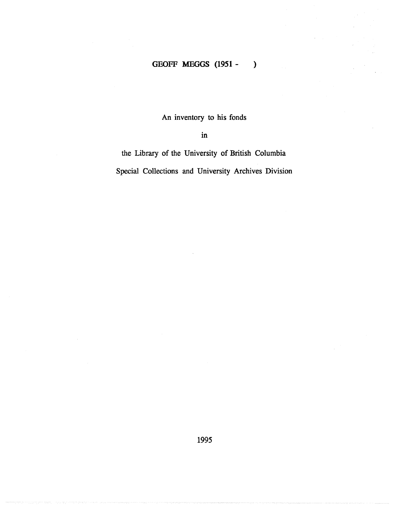### **GEOFF MEGGS (1951 -** )

An inventory to his fonds

in

the Library of the University of British Columbia Special Collections and University Archives Division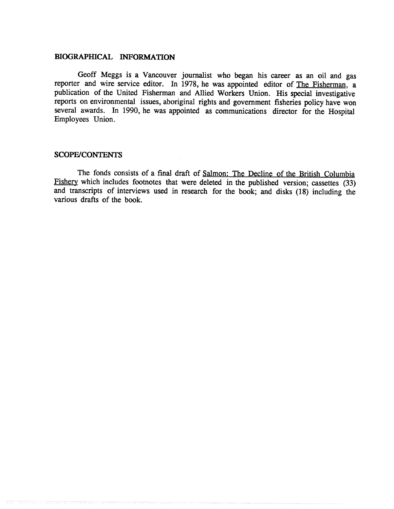#### **BIOGRAPHICAL INFORMATION**

Geoff Meggs is a Vancouver journalist who began his career as an oil and gas reporter and wire service editor. In 1978, he was appointed editor of The Fisherman, a publication of the United Fisherman and Allied Workers Union . His special investigative reports on environmental issues, aboriginal rights and government fisheries policy have won several awards. In 1990, he was appointed as communications director for the Hospital Employees Union.

#### **SCOPE/CONTENTS**

The fonds consists of a final draft of Salmon: The Decline of the British Columbia Fishery which includes footnotes that were deleted in the published version; cassettes (33) and transcripts of interviews used in research for the book; and disks (18) including the various drafts of the book.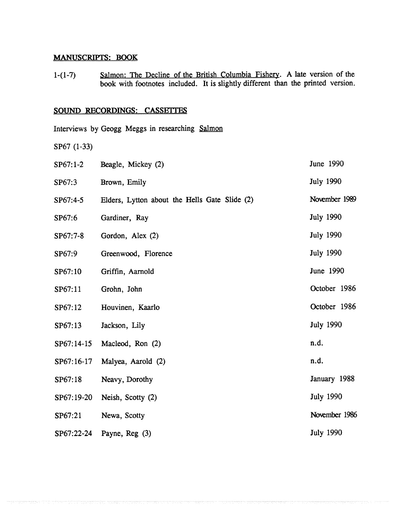#### **MANUSCRIPTS ; BOOK**

**1-(1-7) Salmon: The Decline of the British Columbia Fishery . A late version of the book with footnotes included.** It is slightly different than the printed version.

### **SOUND RECORDINGS: CASSETTES**

**Interviews by Geogg Meggs in researching Salmon**

SP67 (1-33)

| $SP67:1-2$ | Beagle, Mickey (2)                            | June 1990        |
|------------|-----------------------------------------------|------------------|
| SP67:3     | Brown, Emily                                  | <b>July 1990</b> |
| SP67:4-5   | Elders, Lytton about the Hells Gate Slide (2) | November 1989    |
| SP67:6     | Gardiner, Ray                                 | <b>July 1990</b> |
| SP67:7-8   | Gordon, Alex (2)                              | <b>July 1990</b> |
| SP67:9     | Greenwood, Florence                           | <b>July 1990</b> |
| SP67:10    | Griffin, Aarnold                              | June 1990        |
| SP67:11    | Grohn, John                                   | October 1986     |
| SP67:12    | Houvinen, Kaarlo                              | October 1986     |
| SP67:13    | Jackson, Lily                                 | <b>July 1990</b> |
| SP67:14-15 | Macleod, Ron (2)                              | n.d.             |
| SP67:16-17 | Malyea, Aarold (2)                            | n.d.             |
| SP67:18    | Neavy, Dorothy                                | January 1988     |
| SP67:19-20 | Neish, Scotty (2)                             | <b>July 1990</b> |
| SP67:21    | Newa, Scotty                                  | November 1986    |
| SP67:22-24 | Payne, $Reg(3)$                               | <b>July 1990</b> |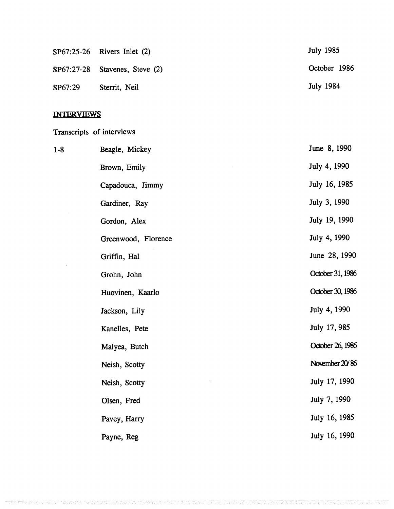|         | $SP67:25-26$ Rivers Inlet $(2)$    | July 1985        |
|---------|------------------------------------|------------------|
|         | $SP67:27-28$ Stavenes, Steve $(2)$ | October 1986     |
| SP67:29 | Sterrit, Neil                      | <b>July 1984</b> |

# **INTERVIEWS**

# Transcripts of interviews

| $1 - 8$ | Beagle, Mickey      | June 8, 1990     |
|---------|---------------------|------------------|
|         | Brown, Emily        | July 4, 1990     |
|         | Capadouca, Jimmy    | July 16, 1985    |
|         | Gardiner, Ray       | July 3, 1990     |
|         | Gordon, Alex        | July 19, 1990    |
|         | Greenwood, Florence | July 4, 1990     |
|         | Griffin, Hal        | June 28, 1990    |
|         | Grohn, John         | October 31, 1986 |
|         | Huovinen, Kaarlo    | October 30, 1986 |
|         | Jackson, Lily       | July 4, 1990     |
|         | Kanelles, Pete      | July 17, 985     |
|         | Malyea, Butch       | October 26, 1986 |
|         | Neish, Scotty       | November 20/86   |
|         | Neish, Scotty       | July 17, 1990    |
|         | Olsen, Fred         | July 7, 1990     |
|         | Pavey, Harry        | July 16, 1985    |
|         | Payne, Reg          | July 16, 1990    |